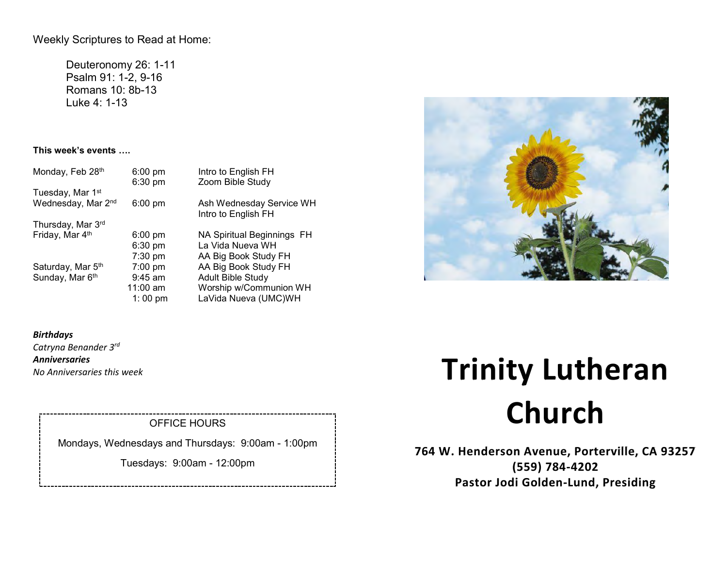## Weekly Scriptures to Read at Home:

Deuteronomy 26: 1-11 Psalm 91: 1-2, 9-16 Romans 10: 8b-13 Luke 4: 1-13

### **This week's events ….**

| Monday, Feb 28th             | $6:00 \text{ pm}$<br>6:30 pm | Intro to English FH<br>Zoom Bible Study         |
|------------------------------|------------------------------|-------------------------------------------------|
| Tuesday, Mar 1 <sup>st</sup> |                              |                                                 |
| Wednesday, Mar 2nd           | $6:00$ pm                    | Ash Wednesday Service WH<br>Intro to English FH |
| Thursday, Mar 3rd            |                              |                                                 |
| Friday, Mar 4th              | $6:00 \text{ pm}$            | NA Spiritual Beginnings FH                      |
|                              | $6:30 \text{ pm}$            | La Vida Nueva WH                                |
|                              | $7:30$ pm                    | AA Big Book Study FH                            |
| Saturday, Mar 5th            | 7:00 pm                      | AA Big Book Study FH                            |
| Sunday, Mar 6th              | $9:45$ am                    | <b>Adult Bible Study</b>                        |
|                              | $11:00$ am                   | Worship w/Communion WH                          |
|                              | 1:00 pm                      | LaVida Nueva (UMC)WH                            |

*Birthdays Catryna Benander 3rd Anniversaries No Anniversaries this week* 

## OFFICE HOURS

Mondays, Wednesdays and Thursdays: 9:00am - 1:00pm

Tuesdays: 9:00am - 12:00pm

# **Trinity Lutheran Church**

**764 W. Henderson Avenue, Porterville, CA 93257 (559) 784-4202 Pastor Jodi Golden-Lund, Presiding**